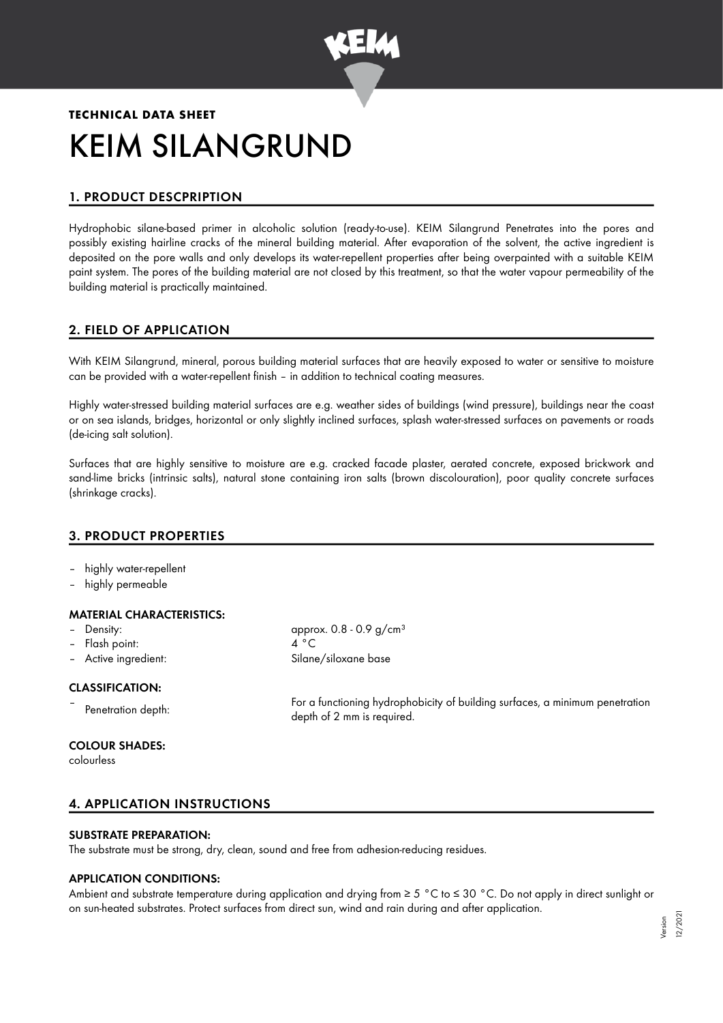

# **TECHNICAL DATA SHEET** KEIM SILANGRUND

# 1. PRODUCT DESCPRIPTION

Hydrophobic silane-based primer in alcoholic solution (ready-to-use). KEIM Silangrund Penetrates into the pores and possibly existing hairline cracks of the mineral building material. After evaporation of the solvent, the active ingredient is deposited on the pore walls and only develops its water-repellent properties after being overpainted with a suitable KEIM paint system. The pores of the building material are not closed by this treatment, so that the water vapour permeability of the building material is practically maintained.

# 2. FIELD OF APPLICATION

With KEIM Silangrund, mineral, porous building material surfaces that are heavily exposed to water or sensitive to moisture can be provided with a water-repellent finish – in addition to technical coating measures.

Highly water-stressed building material surfaces are e.g. weather sides of buildings (wind pressure), buildings near the coast or on sea islands, bridges, horizontal or only slightly inclined surfaces, splash water-stressed surfaces on pavements or roads (de-icing salt solution).

Surfaces that are highly sensitive to moisture are e.g. cracked facade plaster, aerated concrete, exposed brickwork and sand-lime bricks (intrinsic salts), natural stone containing iron salts (brown discolouration), poor quality concrete surfaces (shrinkage cracks).

# 3. PRODUCT PROPERTIES

- highly water-repellent
- highly permeable

# MATERIAL CHARACTERISTICS:

- Density: approx. 0.8 0.9 g/cm<sup>3</sup>
- Flash point: 4 °C
- Active ingredient: Silane/siloxane base

#### CLASSIFICATION:

–

# COLOUR SHADES:

colourless

Penetration depth: For a functioning hydrophobicity of building surfaces, a minimum penetration depth of 2 mm is required.

# 4. APPLICATION INSTRUCTIONS

#### SUBSTRATE PREPARATION:

The substrate must be strong, dry, clean, sound and free from adhesion-reducing residues.

#### APPLICATION CONDITIONS:

Ambient and substrate temperature during application and drying from ≥ 5 °C to ≤ 30 °C. Do not apply in direct sunlight or on sun-heated substrates. Protect surfaces from direct sun, wind and rain during and after application.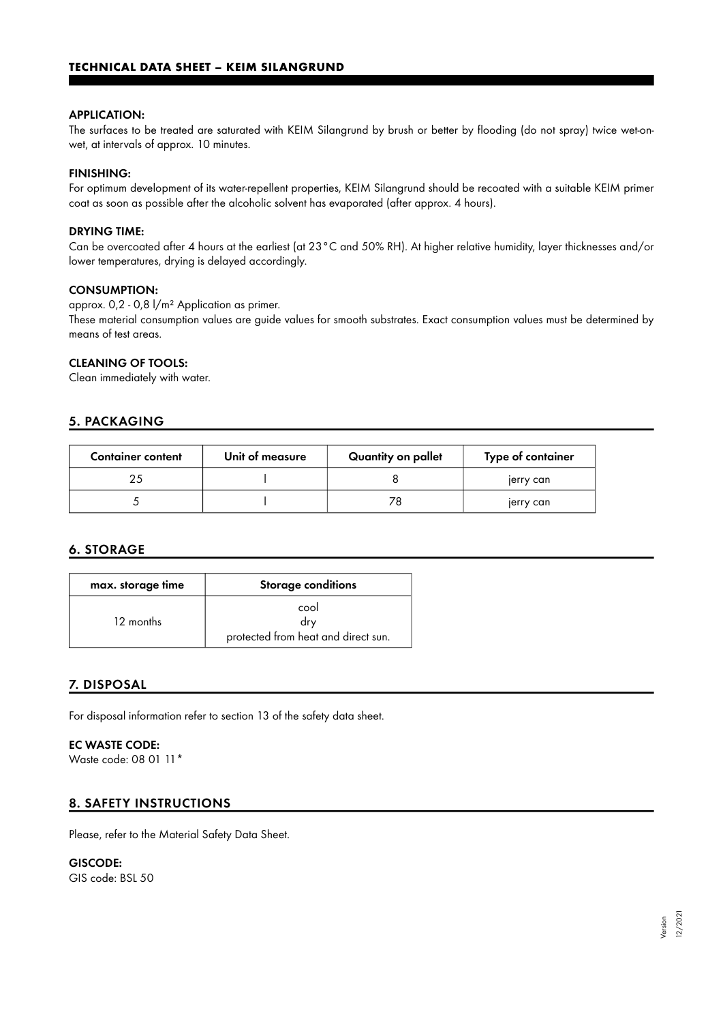#### APPLICATION:

The surfaces to be treated are saturated with KEIM Silangrund by brush or better by flooding (do not spray) twice wet-onwet, at intervals of approx. 10 minutes.

#### FINISHING:

For optimum development of its water-repellent properties, KEIM Silangrund should be recoated with a suitable KEIM primer coat as soon as possible after the alcoholic solvent has evaporated (after approx. 4 hours).

#### DRYING TIME:

Can be overcoated after 4 hours at the earliest (at 23°C and 50% RH). At higher relative humidity, layer thicknesses and/or lower temperatures, drying is delayed accordingly.

#### CONSUMPTION:

approx. 0,2 - 0,8 l/m² Application as primer.

These material consumption values are guide values for smooth substrates. Exact consumption values must be determined by means of test areas.

#### CLEANING OF TOOLS:

Clean immediately with water.

# 5. PACKAGING

| <b>Container content</b> | Unit of measure | Quantity on pallet | Type of container |
|--------------------------|-----------------|--------------------|-------------------|
|                          |                 |                    | jerry can         |
|                          |                 |                    | jerry can         |

# 6. STORAGE

| max. storage time | <b>Storage conditions</b>                          |  |
|-------------------|----------------------------------------------------|--|
| 12 months         | cool<br>drv<br>protected from heat and direct sun. |  |

# 7. DISPOSAL

For disposal information refer to section 13 of the safety data sheet.

#### EC WASTE CODE:

Waste code: 08 01 11\*

#### 8. SAFETY INSTRUCTIONS

Please, refer to the Material Safety Data Sheet.

#### GISCODE:

GIS code: BSL 50